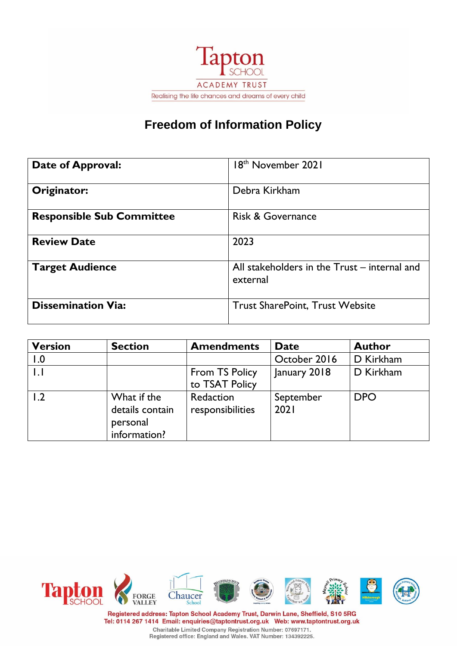

# **Freedom of Information Policy**

| <b>Date of Approval:</b>         | 18 <sup>th</sup> November 2021                           |
|----------------------------------|----------------------------------------------------------|
| Originator:                      | Debra Kirkham                                            |
| <b>Responsible Sub Committee</b> | <b>Risk &amp; Governance</b>                             |
| <b>Review Date</b>               | 2023                                                     |
| <b>Target Audience</b>           | All stakeholders in the Trust – internal and<br>external |
| <b>Dissemination Via:</b>        | <b>Trust SharePoint, Trust Website</b>                   |

| <b>Version</b> | <b>Section</b>                                             | <b>Amendments</b>                | <b>Date</b>       | <b>Author</b> |
|----------------|------------------------------------------------------------|----------------------------------|-------------------|---------------|
| 1.0            |                                                            |                                  | October 2016      | D Kirkham     |
|                |                                                            | From TS Policy<br>to TSAT Policy | January 2018      | D Kirkham     |
| 1.2            | What if the<br>details contain<br>personal<br>information? | Redaction<br>responsibilities    | September<br>2021 | <b>DPO</b>    |



Registered address: Tapton School Academy Trust, Darwin Lane, Sheffield, S10 5RG Tel: 0114 267 1414 Email: enquiries@taptontrust.org.uk Web: www.taptontrust.org.uk Charitable Limited Company Registration Number: 07697171.<br>Registered office: England and Wales. VAT Number: 134392225.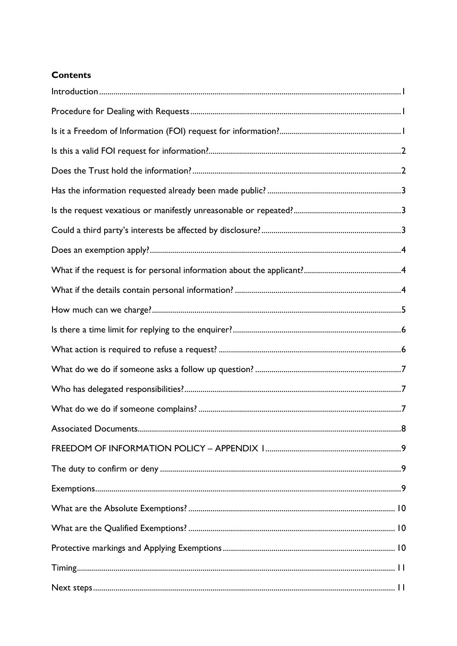## **Contents**

| 8 |
|---|
|   |
|   |
|   |
|   |
|   |
|   |
|   |
|   |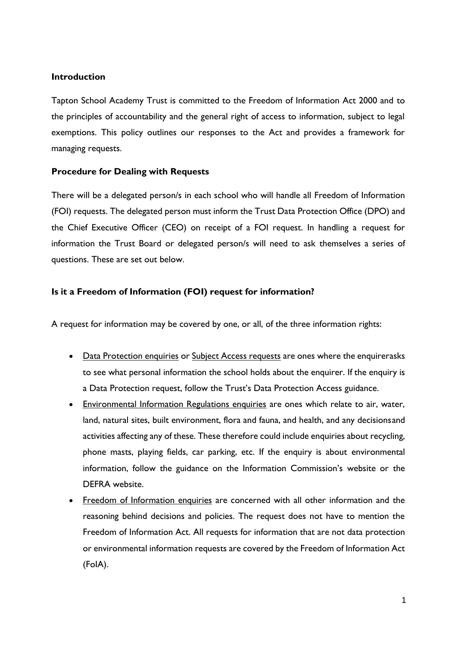## <span id="page-3-0"></span>**Introduction**

Tapton School Academy Trust is committed to the Freedom of Information Act 2000 and to the principles of accountability and the general right of access to information, subject to legal exemptions. This policy outlines our responses to the Act and provides a framework for managing requests.

## <span id="page-3-1"></span>**Procedure for Dealing with Requests**

There will be a delegated person/s in each school who will handle all Freedom of Information (FOI) requests. The delegated person must inform the Trust Data Protection Office (DPO) and the Chief Executive Officer (CEO) on receipt of a FOI request. In handling a request for information the Trust Board or delegated person/s will need to ask themselves a series of questions. These are set out below.

## <span id="page-3-2"></span>**Is it a Freedom of Information (FOI) request for information?**

A request for information may be covered by one, or all, of the three information rights:

- Data Protection enquiries or Subject Access requests are ones where the enquirerasks to see what personal information the school holds about the enquirer. If the enquiry is a Data Protection request, follow the Trust's Data Protection Access guidance.
- Environmental Information Regulations enquiries are ones which relate to air, water, land, natural sites, built environment, flora and fauna, and health, and any decisionsand activities affecting any of these. These therefore could include enquiries about recycling, phone masts, playing fields, car parking, etc. If the enquiry is about environmental information, follow the guidance on the Information Commission's website or the DEFRA website.
- Freedom of Information enquiries are concerned with all other information and the reasoning behind decisions and policies. The request does not have to mention the Freedom of Information Act. All requests for information that are not data protection or environmental information requests are covered by the Freedom of Information Act (FoIA).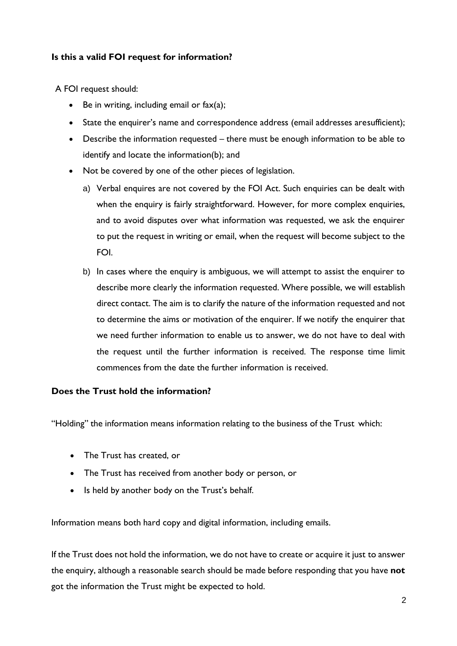## <span id="page-4-0"></span>**Is this a valid FOI request for information?**

A FOI request should:

- Be in writing, including email or  $\text{fax}(a)$ ;
- State the enquirer's name and correspondence address (email addresses aresufficient);
- Describe the information requested there must be enough information to be able to identify and locate the information(b); and
- Not be covered by one of the other pieces of legislation.
	- a) Verbal enquires are not covered by the FOI Act. Such enquiries can be dealt with when the enquiry is fairly straightforward. However, for more complex enquiries, and to avoid disputes over what information was requested, we ask the enquirer to put the request in writing or email, when the request will become subject to the FOI.
	- b) In cases where the enquiry is ambiguous, we will attempt to assist the enquirer to describe more clearly the information requested. Where possible, we will establish direct contact. The aim is to clarify the nature of the information requested and not to determine the aims or motivation of the enquirer. If we notify the enquirer that we need further information to enable us to answer, we do not have to deal with the request until the further information is received. The response time limit commences from the date the further information is received.

## <span id="page-4-1"></span>**Does the Trust hold the information?**

"Holding" the information means information relating to the business of the Trust which:

- The Trust has created, or
- The Trust has received from another body or person, or
- Is held by another body on the Trust's behalf.

Information means both hard copy and digital information, including emails.

If the Trust does not hold the information, we do not have to create or acquire it just to answer the enquiry, although a reasonable search should be made before responding that you have **not**  got the information the Trust might be expected to hold.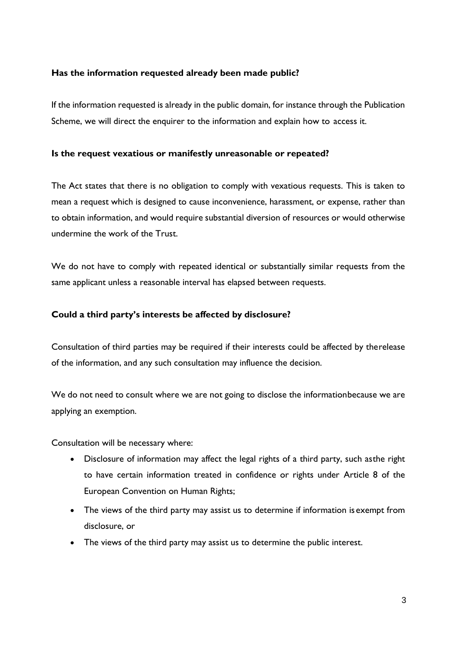#### <span id="page-5-0"></span>**Has the information requested already been made public?**

If the information requested is already in the public domain, for instance through the Publication Scheme, we will direct the enquirer to the information and explain how to access it.

#### <span id="page-5-1"></span>**Is the request vexatious or manifestly unreasonable or repeated?**

The Act states that there is no obligation to comply with vexatious requests. This is taken to mean a request which is designed to cause inconvenience, harassment, or expense, rather than to obtain information, and would require substantial diversion of resources or would otherwise undermine the work of the Trust.

We do not have to comply with repeated identical or substantially similar requests from the same applicant unless a reasonable interval has elapsed between requests.

## <span id="page-5-2"></span>**Could a third party's interests be affected by disclosure?**

Consultation of third parties may be required if their interests could be affected by therelease of the information, and any such consultation may influence the decision.

We do not need to consult where we are not going to disclose the informationbecause we are applying an exemption.

Consultation will be necessary where:

- Disclosure of information may affect the legal rights of a third party, such asthe right to have certain information treated in confidence or rights under Article 8 of the European Convention on Human Rights;
- The views of the third party may assist us to determine if information is exempt from disclosure, or
- The views of the third party may assist us to determine the public interest.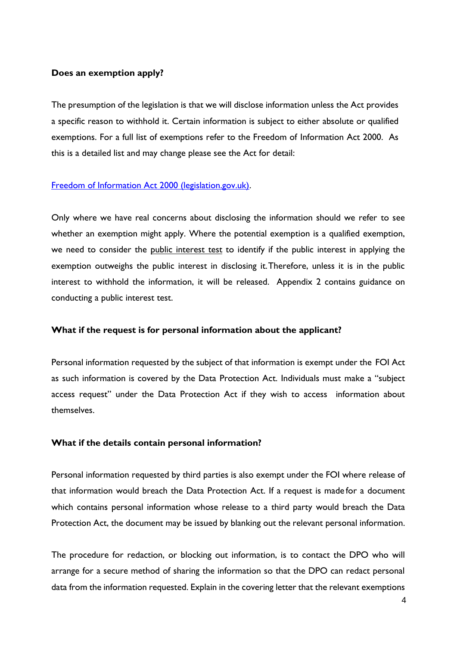#### <span id="page-6-0"></span>**Does an exemption apply?**

The presumption of the legislation is that we will disclose information unless the Act provides a specific reason to withhold it. Certain information is subject to either absolute or qualified exemptions. For a full list of exemptions refer to the Freedom of Information Act 2000. As this is a detailed list and may change please see the Act for detail:

#### [Freedom of Information Act 2000 \(legislation.gov.uk\).](https://www.legislation.gov.uk/ukpga/2000/36/contents)

Only where we have real concerns about disclosing the information should we refer to see whether an exemption might apply. Where the potential exemption is a qualified exemption, we need to consider the public interest test to identify if the public interest in applying the exemption outweighs the public interest in disclosing it.Therefore, unless it is in the public interest to withhold the information, it will be released. Appendix 2 contains guidance on conducting a public interest test.

#### <span id="page-6-1"></span>**What if the request is for personal information about the applicant?**

Personal information requested by the subject of that information is exempt under the FOI Act as such information is covered by the Data Protection Act. Individuals must make a "subject access request" under the Data Protection Act if they wish to access information about themselves.

#### <span id="page-6-2"></span>**What if the details contain personal information?**

Personal information requested by third parties is also exempt under the FOI where release of that information would breach the Data Protection Act. If a request is made for a document which contains personal information whose release to a third party would breach the Data Protection Act, the document may be issued by blanking out the relevant personal information.

The procedure for redaction, or blocking out information, is to contact the DPO who will arrange for a secure method of sharing the information so that the DPO can redact personal data from the information requested. Explain in the covering letter that the relevant exemptions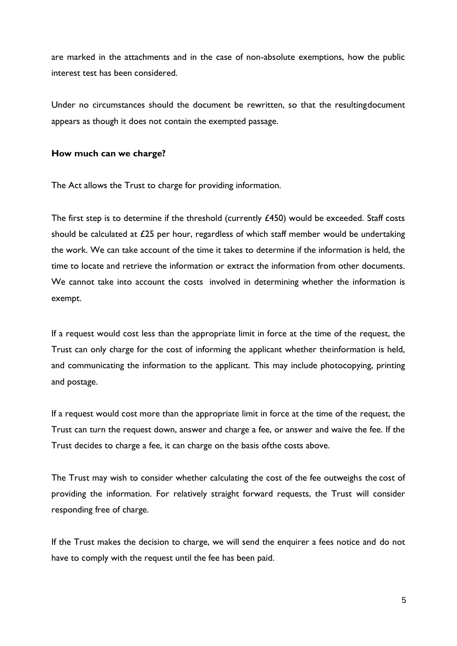are marked in the attachments and in the case of non-absolute exemptions, how the public interest test has been considered.

Under no circumstances should the document be rewritten, so that the resultingdocument appears as though it does not contain the exempted passage.

#### <span id="page-7-0"></span>**How much can we charge?**

The Act allows the Trust to charge for providing information.

The first step is to determine if the threshold (currently £450) would be exceeded. Staff costs should be calculated at  $£25$  per hour, regardless of which staff member would be undertaking the work. We can take account of the time it takes to determine if the information is held, the time to locate and retrieve the information or extract the information from other documents. We cannot take into account the costs involved in determining whether the information is exempt.

If a request would cost less than the appropriate limit in force at the time of the request, the Trust can only charge for the cost of informing the applicant whether theinformation is held, and communicating the information to the applicant. This may include photocopying, printing and postage.

If a request would cost more than the appropriate limit in force at the time of the request, the Trust can turn the request down, answer and charge a fee, or answer and waive the fee. If the Trust decides to charge a fee, it can charge on the basis ofthe costs above.

The Trust may wish to consider whether calculating the cost of the fee outweighs the cost of providing the information. For relatively straight forward requests, the Trust will consider responding free of charge.

If the Trust makes the decision to charge, we will send the enquirer a fees notice and do not have to comply with the request until the fee has been paid.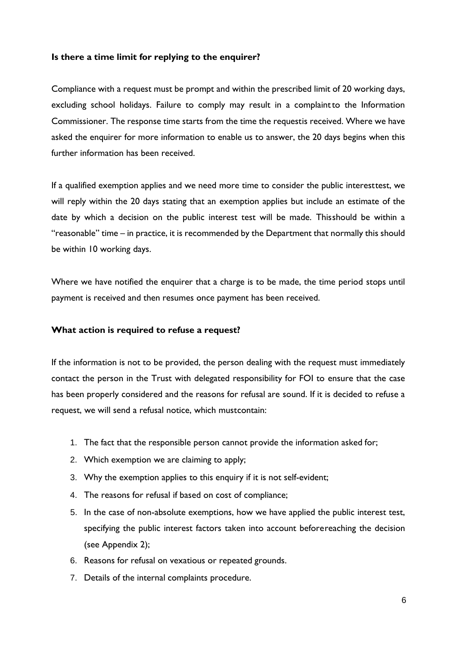#### <span id="page-8-0"></span>**Is there a time limit for replying to the enquirer?**

Compliance with a request must be prompt and within the prescribed limit of 20 working days, excluding school holidays. Failure to comply may result in a complaintto the Information Commissioner. The response time starts from the time the requestis received. Where we have asked the enquirer for more information to enable us to answer, the 20 days begins when this further information has been received.

If a qualified exemption applies and we need more time to consider the public interesttest, we will reply within the 20 days stating that an exemption applies but include an estimate of the date by which a decision on the public interest test will be made. Thisshould be within a "reasonable" time – in practice, it is recommended by the Department that normally this should be within 10 working days.

Where we have notified the enquirer that a charge is to be made, the time period stops until payment is received and then resumes once payment has been received.

#### <span id="page-8-1"></span>**What action is required to refuse a request?**

If the information is not to be provided, the person dealing with the request must immediately contact the person in the Trust with delegated responsibility for FOI to ensure that the case has been properly considered and the reasons for refusal are sound. If it is decided to refuse a request, we will send a refusal notice, which mustcontain:

- 1. The fact that the responsible person cannot provide the information asked for;
- 2. Which exemption we are claiming to apply;
- 3. Why the exemption applies to this enquiry if it is not self-evident;
- 4. The reasons for refusal if based on cost of compliance;
- 5. In the case of non-absolute exemptions, how we have applied the public interest test, specifying the public interest factors taken into account beforereaching the decision (see Appendix 2);
- 6. Reasons for refusal on vexatious or repeated grounds.
- 7. Details of the internal complaints procedure.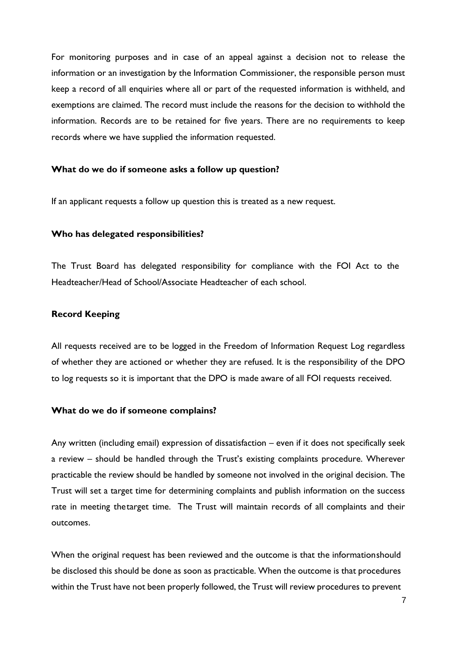For monitoring purposes and in case of an appeal against a decision not to release the information or an investigation by the Information Commissioner, the responsible person must keep a record of all enquiries where all or part of the requested information is withheld, and exemptions are claimed. The record must include the reasons for the decision to withhold the information. Records are to be retained for five years. There are no requirements to keep records where we have supplied the information requested.

#### <span id="page-9-0"></span>**What do we do if someone asks a follow up question?**

If an applicant requests a follow up question this is treated as a new request.

#### <span id="page-9-1"></span>**Who has delegated responsibilities?**

The Trust Board has delegated responsibility for compliance with the FOI Act to the Headteacher/Head of School/Associate Headteacher of each school.

#### **Record Keeping**

All requests received are to be logged in the Freedom of Information Request Log regardless of whether they are actioned or whether they are refused. It is the responsibility of the DPO to log requests so it is important that the DPO is made aware of all FOI requests received.

#### <span id="page-9-2"></span>**What do we do if someone complains?**

Any written (including email) expression of dissatisfaction – even if it does not specifically seek a review – should be handled through the Trust's existing complaints procedure. Wherever practicable the review should be handled by someone not involved in the original decision. The Trust will set a target time for determining complaints and publish information on the success rate in meeting thetarget time. The Trust will maintain records of all complaints and their outcomes.

When the original request has been reviewed and the outcome is that the informationshould be disclosed this should be done as soon as practicable. When the outcome is that procedures within the Trust have not been properly followed, the Trust will review procedures to prevent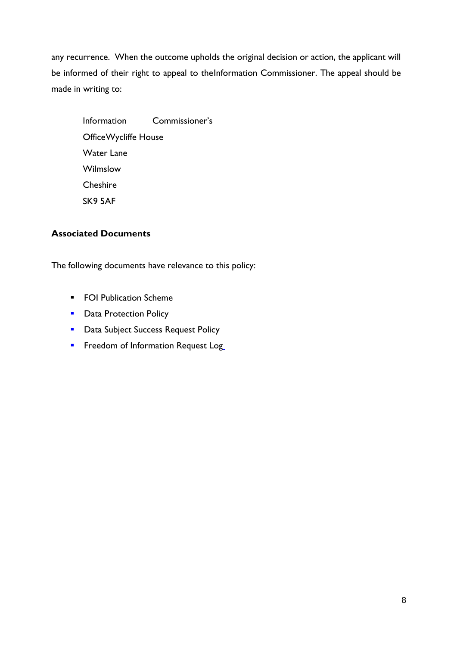any recurrence. When the outcome upholds the original decision or action, the applicant will be informed of their right to appeal to theInformation Commissioner. The appeal should be made in writing to:

Information Commissioner's OfficeWycliffe House Water Lane Wilmslow Cheshire SK9 5AF

## <span id="page-10-0"></span>**Associated Documents**

The following documents have relevance to this policy:

- FOI Publication Scheme
- Data Protection Policy
- **Data Subject Success Request Policy**
- **EXECTED** Freedom of Information Request Log\_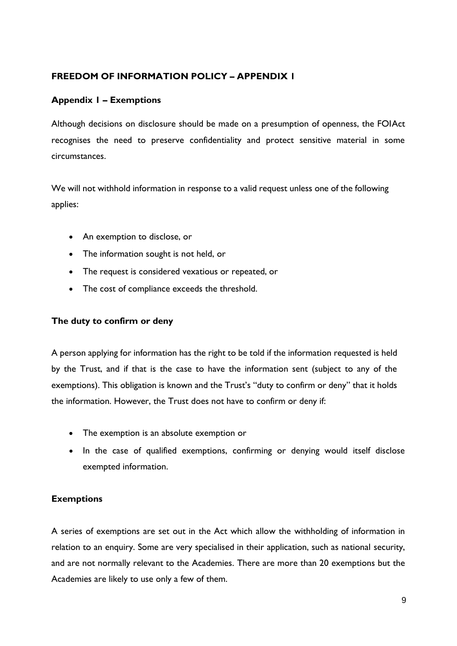## <span id="page-11-0"></span>**FREEDOM OF INFORMATION POLICY – APPENDIX 1**

## **Appendix 1 – Exemptions**

Although decisions on disclosure should be made on a presumption of openness, the FOIAct recognises the need to preserve confidentiality and protect sensitive material in some circumstances.

We will not withhold information in response to a valid request unless one of the following applies:

- An exemption to disclose, or
- The information sought is not held, or
- The request is considered vexatious or repeated, or
- The cost of compliance exceeds the threshold.

## <span id="page-11-1"></span>**The duty to confirm or deny**

A person applying for information has the right to be told if the information requested is held by the Trust, and if that is the case to have the information sent (subject to any of the exemptions). This obligation is known and the Trust's "duty to confirm or deny" that it holds the information. However, the Trust does not have to confirm or deny if:

- The exemption is an absolute exemption or
- In the case of qualified exemptions, confirming or denying would itself disclose exempted information.

## <span id="page-11-2"></span>**Exemptions**

A series of exemptions are set out in the Act which allow the withholding of information in relation to an enquiry. Some are very specialised in their application, such as national security, and are not normally relevant to the Academies. There are more than 20 exemptions but the Academies are likely to use only a few of them.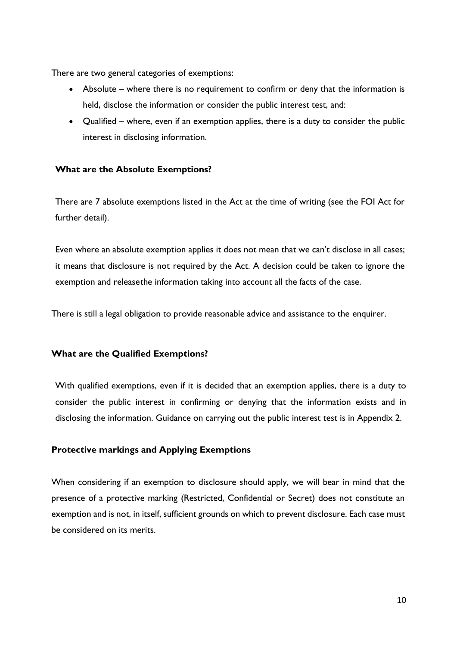There are two general categories of exemptions:

- Absolute where there is no requirement to confirm or deny that the information is held, disclose the information or consider the public interest test, and:
- Qualified where, even if an exemption applies, there is a duty to consider the public interest in disclosing information.

## <span id="page-12-0"></span>**What are the Absolute Exemptions?**

There are 7 absolute exemptions listed in the Act at the time of writing (see the FOI Act for further detail).

Even where an absolute exemption applies it does not mean that we can't disclose in all cases; it means that disclosure is not required by the Act. A decision could be taken to ignore the exemption and releasethe information taking into account all the facts of the case.

There is still a legal obligation to provide reasonable advice and assistance to the enquirer.

## <span id="page-12-1"></span>**What are the Qualified Exemptions?**

With qualified exemptions, even if it is decided that an exemption applies, there is a duty to consider the public interest in confirming or denying that the information exists and in disclosing the information. Guidance on carrying out the public interest test is in Appendix 2.

## <span id="page-12-2"></span>**Protective markings and Applying Exemptions**

When considering if an exemption to disclosure should apply, we will bear in mind that the presence of a protective marking (Restricted, Confidential or Secret) does not constitute an exemption and is not, in itself, sufficient grounds on which to prevent disclosure. Each case must be considered on its merits.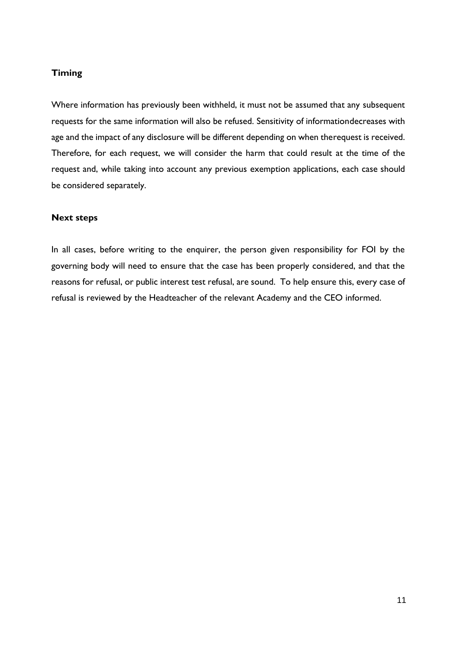#### <span id="page-13-0"></span>**Timing**

Where information has previously been withheld, it must not be assumed that any subsequent requests for the same information will also be refused. Sensitivity of informationdecreases with age and the impact of any disclosure will be different depending on when therequest is received. Therefore, for each request, we will consider the harm that could result at the time of the request and, while taking into account any previous exemption applications, each case should be considered separately.

#### <span id="page-13-1"></span>**Next steps**

In all cases, before writing to the enquirer, the person given responsibility for FOI by the governing body will need to ensure that the case has been properly considered, and that the reasons for refusal, or public interest test refusal, are sound. To help ensure this, every case of refusal is reviewed by the Headteacher of the relevant Academy and the CEO informed.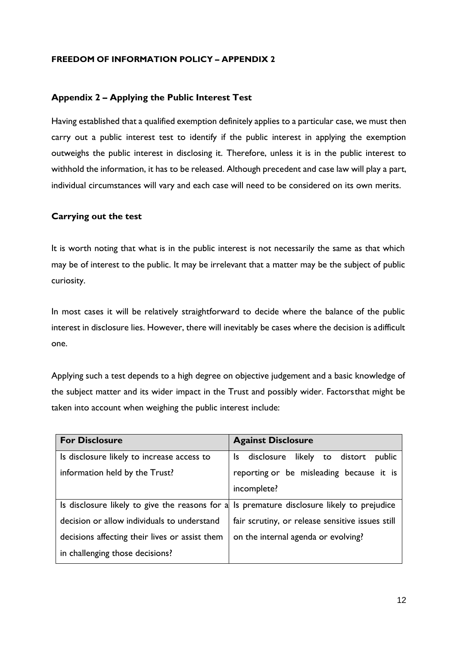#### <span id="page-14-0"></span>**FREEDOM OF INFORMATION POLICY – APPENDIX 2**

#### **Appendix 2 – Applying the Public Interest Test**

Having established that a qualified exemption definitely applies to a particular case, we must then carry out a public interest test to identify if the public interest in applying the exemption outweighs the public interest in disclosing it. Therefore, unless it is in the public interest to withhold the information, it has to be released. Although precedent and case law will play a part, individual circumstances will vary and each case will need to be considered on its own merits.

#### <span id="page-14-1"></span>**Carrying out the test**

It is worth noting that what is in the public interest is not necessarily the same as that which may be of interest to the public. It may be irrelevant that a matter may be the subject of public curiosity.

In most cases it will be relatively straightforward to decide where the balance of the public interest in disclosure lies. However, there will inevitably be cases where the decision is adifficult one.

Applying such a test depends to a high degree on objective judgement and a basic knowledge of the subject matter and its wider impact in the Trust and possibly wider. Factorsthat might be taken into account when weighing the public interest include:

| <b>For Disclosure</b>                                                                      | <b>Against Disclosure</b>                        |
|--------------------------------------------------------------------------------------------|--------------------------------------------------|
| Is disclosure likely to increase access to                                                 | Is disclosure likely to distort<br>public        |
| information held by the Trust?                                                             | reporting or be misleading because it is         |
|                                                                                            | incomplete?                                      |
| Is disclosure likely to give the reasons for a Is premature disclosure likely to prejudice |                                                  |
| decision or allow individuals to understand                                                | fair scrutiny, or release sensitive issues still |
| decisions affecting their lives or assist them                                             | on the internal agenda or evolving?              |
| in challenging those decisions?                                                            |                                                  |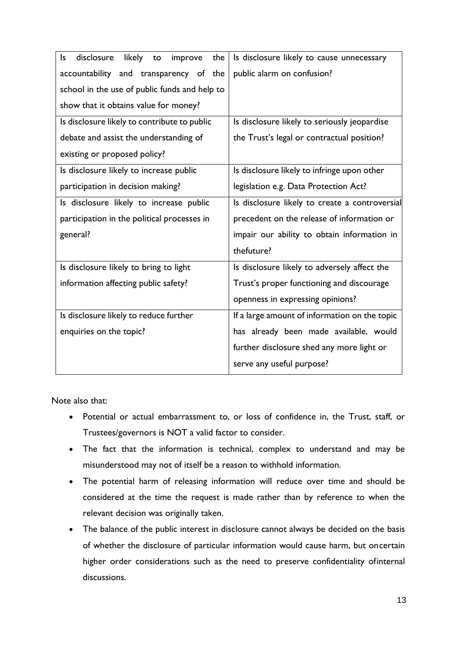| disclosure<br>likely to<br>ls<br>the<br>improve | Is disclosure likely to cause unnecessary      |
|-------------------------------------------------|------------------------------------------------|
| accountability and transparency of the          | public alarm on confusion?                     |
| school in the use of public funds and help to   |                                                |
| show that it obtains value for money?           |                                                |
| Is disclosure likely to contribute to public    | Is disclosure likely to seriously jeopardise   |
| debate and assist the understanding of          | the Trust's legal or contractual position?     |
| existing or proposed policy?                    |                                                |
| Is disclosure likely to increase public         | Is disclosure likely to infringe upon other    |
| participation in decision making?               | legislation e.g. Data Protection Act?          |
| Is disclosure likely to increase public         | Is disclosure likely to create a controversial |
| participation in the political processes in     | precedent on the release of information or     |
| general?                                        | impair our ability to obtain information in    |
|                                                 | thefuture?                                     |
| Is disclosure likely to bring to light          | Is disclosure likely to adversely affect the   |
| information affecting public safety?            | Trust's proper functioning and discourage      |
|                                                 | openness in expressing opinions?               |
| Is disclosure likely to reduce further          | If a large amount of information on the topic  |
| enquiries on the topic?                         | has already been made available, would         |
|                                                 | further disclosure shed any more light or      |
|                                                 | serve any useful purpose?                      |

Note also that:

- Potential or actual embarrassment to, or loss of confidence in, the Trust, staff, or Trustees/governors is NOT a valid factor to consider.
- The fact that the information is technical, complex to understand and may be misunderstood may not of itself be a reason to withhold information.
- The potential harm of releasing information will reduce over time and should be considered at the time the request is made rather than by reference to when the relevant decision was originally taken.
- The balance of the public interest in disclosure cannot always be decided on the basis of whether the disclosure of particular information would cause harm, but oncertain higher order considerations such as the need to preserve confidentiality ofinternal discussions.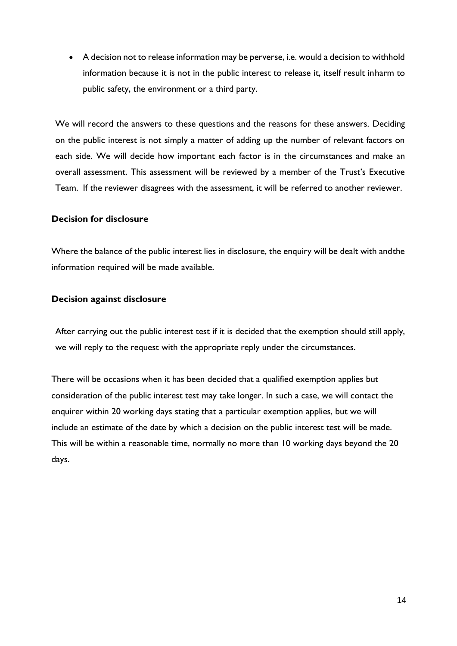• A decision not to release information may be perverse, i.e. would a decision to withhold information because it is not in the public interest to release it, itself result inharm to public safety, the environment or a third party.

We will record the answers to these questions and the reasons for these answers. Deciding on the public interest is not simply a matter of adding up the number of relevant factors on each side. We will decide how important each factor is in the circumstances and make an overall assessment. This assessment will be reviewed by a member of the Trust's Executive Team. If the reviewer disagrees with the assessment, it will be referred to another reviewer.

#### <span id="page-16-0"></span>**Decision for disclosure**

Where the balance of the public interest lies in disclosure, the enquiry will be dealt with andthe information required will be made available.

#### <span id="page-16-1"></span>**Decision against disclosure**

After carrying out the public interest test if it is decided that the exemption should still apply, we will reply to the request with the appropriate reply under the circumstances.

There will be occasions when it has been decided that a qualified exemption applies but consideration of the public interest test may take longer. In such a case, we will contact the enquirer within 20 working days stating that a particular exemption applies, but we will include an estimate of the date by which a decision on the public interest test will be made. This will be within a reasonable time, normally no more than 10 working days beyond the 20 days.